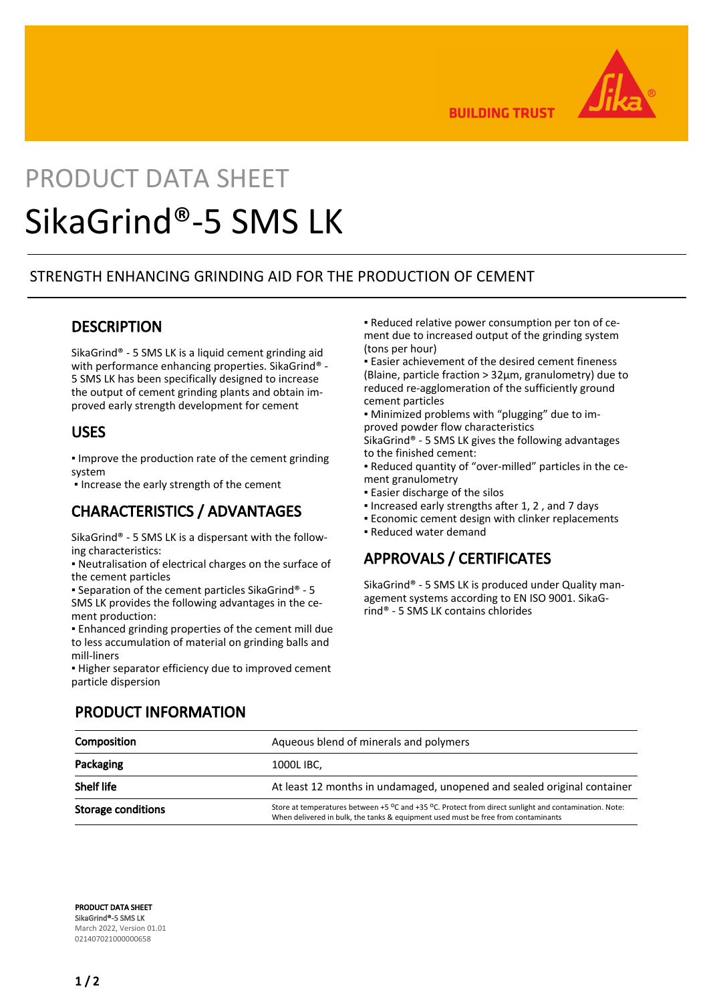

**BUILDING TRUST** 

# PRODUCT DATA SHEET SikaGrind®-5 SMS LK

### STRENGTH ENHANCING GRINDING AID FOR THE PRODUCTION OF CEMENT

#### **DESCRIPTION**

SikaGrind® - 5 SMS LK is a liquid cement grinding aid with performance enhancing properties. SikaGrind® -5 SMS LK has been specifically designed to increase the output of cement grinding plants and obtain improved early strength development for cement

#### USES

▪ Improve the production rate of the cement grinding system

▪ Increase the early strength of the cement

## CHARACTERISTICS / ADVANTAGES

SikaGrind® - 5 SMS LK is a dispersant with the following characteristics:

▪ Neutralisation of electrical charges on the surface of the cement particles

▪ Separation of the cement particles SikaGrind® - 5 SMS LK provides the following advantages in the cement production:

▪ Enhanced grinding properties of the cement mill due to less accumulation of material on grinding balls and mill-liners

▪ Higher separator efficiency due to improved cement particle dispersion

▪ Reduced relative power consumption per ton of cement due to increased output of the grinding system (tons per hour)

**Easier achievement of the desired cement fineness** (Blaine, particle fraction > 32μm, granulometry) due to reduced re-agglomeration of the sufficiently ground cement particles

▪ Minimized problems with "plugging" due to improved powder flow characteristics

SikaGrind® - 5 SMS LK gives the following advantages to the finished cement:

▪ Reduced quantity of "over-milled" particles in the cement granulometry

- **Easier discharge of the silos**
- Increased early strengths after 1, 2 , and 7 days
- **Economic cement design with clinker replacements**
- Reduced water demand

### APPROVALS / CERTIFICATES

SikaGrind® - 5 SMS LK is produced under Quality management systems according to EN ISO 9001. SikaGrind® - 5 SMS LK contains chlorides

| Composition               | Aqueous blend of minerals and polymers                                                                                                                                                         |
|---------------------------|------------------------------------------------------------------------------------------------------------------------------------------------------------------------------------------------|
| Packaging                 | 1000L IBC,                                                                                                                                                                                     |
| Shelf life                | At least 12 months in undamaged, unopened and sealed original container                                                                                                                        |
| <b>Storage conditions</b> | Store at temperatures between $+5$ °C and $+35$ °C. Protect from direct sunlight and contamination. Note:<br>When delivered in bulk, the tanks & equipment used must be free from contaminants |

### PRODUCT INFORMATION

PRODUCT DATA SHEET SikaGrind®-5 SMS LK March 2022, Version 01.01 021407021000000658